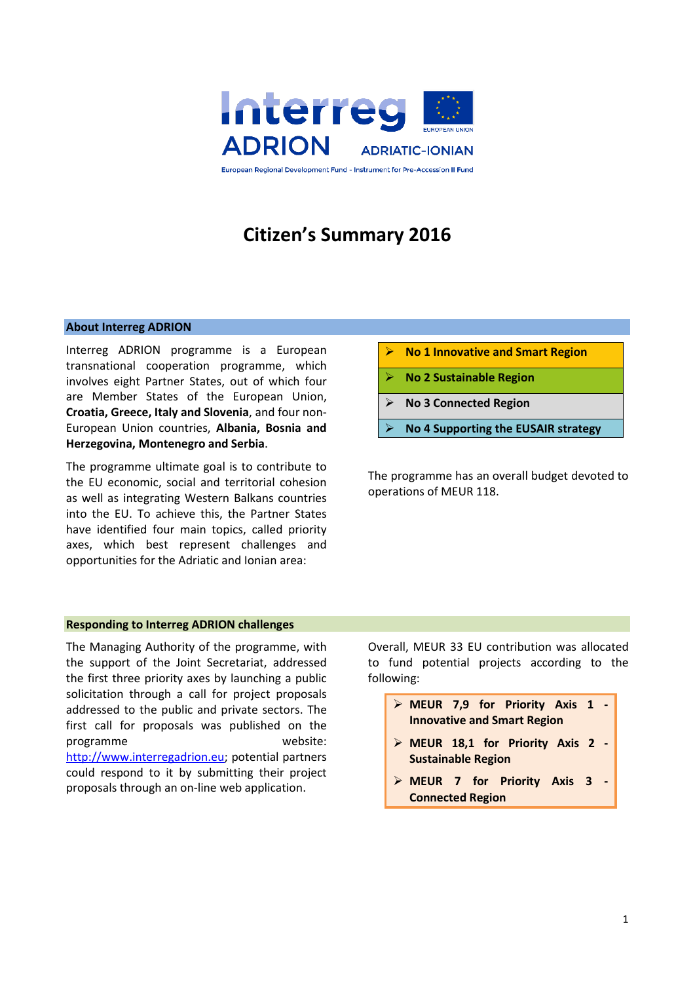

# **Citizen's Summary 2016**

#### **About Interreg ADRION**

Interreg ADRION programme is a European transnational cooperation programme, which involves eight Partner States, out of which four are Member States of the European Union, **Croatia, Greece, Italy and Slovenia**, and four non-European Union countries, **Albania, Bosnia and Herzegovina, Montenegro and Serbia**.

The programme ultimate goal is to contribute to the EU economic, social and territorial cohesion as well as integrating Western Balkans countries into the EU. To achieve this, the Partner States have identified four main topics, called priority axes, which best represent challenges and opportunities for the Adriatic and Ionian area:

- **No 1 Innovative and Smart Region**
- **No 2 Sustainable Region**
- **No 3 Connected Region**
- **No 4 Supporting the EUSAIR strategy**

The programme has an overall budget devoted to operations of MEUR 118.

### **Responding to Interreg ADRION challenges**

The Managing Authority of the programme, with the support of the Joint Secretariat, addressed the first three priority axes by launching a public solicitation through a call for project proposals addressed to the public and private sectors. The first call for proposals was published on the programme website: [http://www.interregadrion.eu;](http://www.interregadrion.eu/) potential partners could respond to it by submitting their project proposals through an on-line web application.

Overall, MEUR 33 EU contribution was allocated to fund potential projects according to the following:

- **MEUR 7,9 for Priority Axis 1 - Innovative and Smart Region**
- **MEUR 18,1 for Priority Axis 2 - Sustainable Region**
- **MEUR 7 for Priority Axis 3 - Connected Region**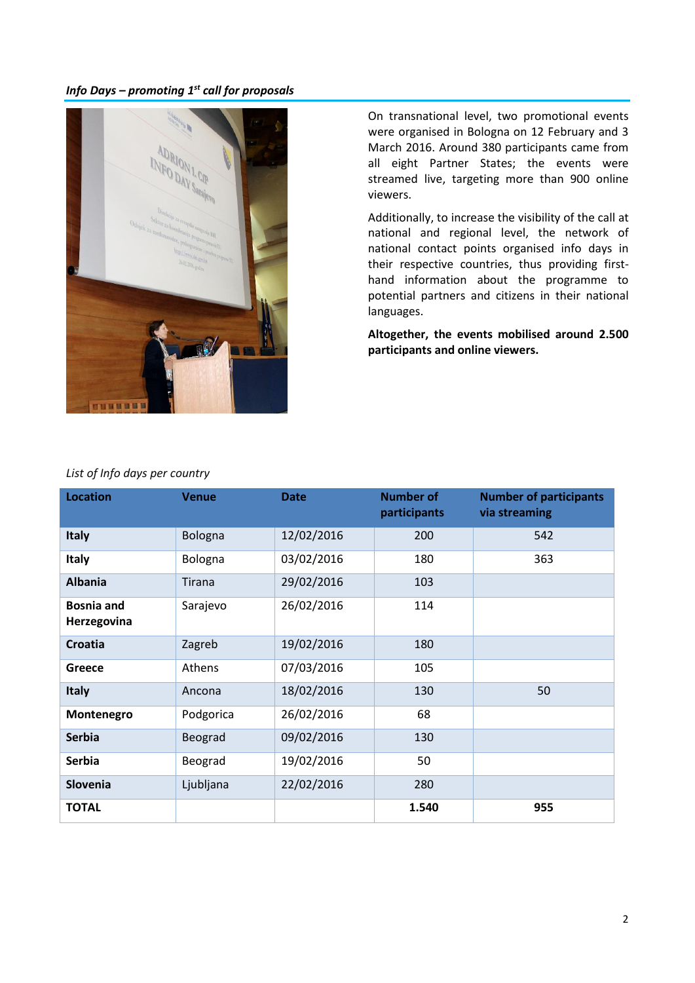# *Info Days – promoting 1 st call for proposals*



On transnational level, two promotional events were organised in Bologna on 12 February and 3 March 2016. Around 380 participants came from all eight Partner States; the events were streamed live, targeting more than 900 online viewers.

Additionally, to increase the visibility of the call at national and regional level, the network of national contact points organised info days in their respective countries, thus providing firsthand information about the programme to potential partners and citizens in their national languages.

**Altogether, the events mobilised around 2.500 participants and online viewers.** 

| List of Info days per country |  |  |  |
|-------------------------------|--|--|--|
|-------------------------------|--|--|--|

| <b>Location</b>                  | <b>Venue</b> | <b>Date</b> | <b>Number of</b><br>participants | <b>Number of participants</b><br>via streaming |
|----------------------------------|--------------|-------------|----------------------------------|------------------------------------------------|
| <b>Italy</b>                     | Bologna      | 12/02/2016  | 200                              | 542                                            |
| <b>Italy</b>                     | Bologna      | 03/02/2016  | 180                              | 363                                            |
| <b>Albania</b>                   | Tirana       | 29/02/2016  | 103                              |                                                |
| <b>Bosnia and</b><br>Herzegovina | Sarajevo     | 26/02/2016  | 114                              |                                                |
| Croatia                          | Zagreb       | 19/02/2016  | 180                              |                                                |
| Greece                           | Athens       | 07/03/2016  | 105                              |                                                |
| <b>Italy</b>                     | Ancona       | 18/02/2016  | 130                              | 50                                             |
| Montenegro                       | Podgorica    | 26/02/2016  | 68                               |                                                |
| <b>Serbia</b>                    | Beograd      | 09/02/2016  | 130                              |                                                |
| <b>Serbia</b>                    | Beograd      | 19/02/2016  | 50                               |                                                |
| Slovenia                         | Ljubljana    | 22/02/2016  | 280                              |                                                |
| <b>TOTAL</b>                     |              |             | 1.540                            | 955                                            |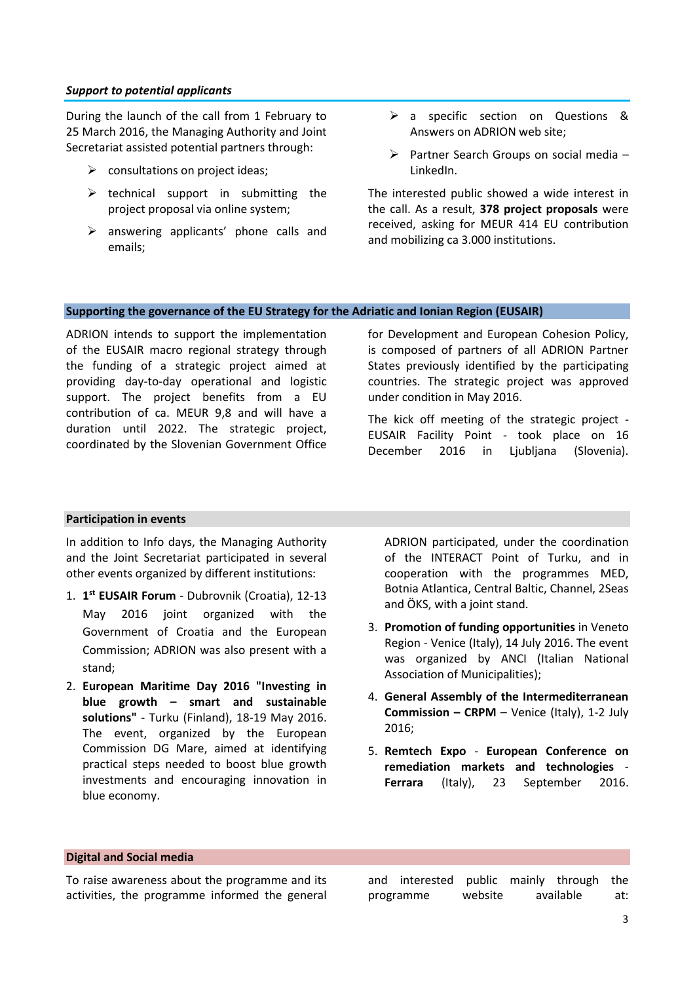### *Support to potential applicants*

During the launch of the call from 1 February to 25 March 2016, the Managing Authority and Joint Secretariat assisted potential partners through:

- $\triangleright$  consultations on project ideas:
- $\triangleright$  technical support in submitting the project proposal via online system;
- $\triangleright$  answering applicants' phone calls and emails;
- > a specific section on Questions & Answers on ADRION web site;
- $\triangleright$  Partner Search Groups on social media LinkedIn.

The interested public showed a wide interest in the call. As a result, **378 project proposals** were received, asking for MEUR 414 EU contribution and mobilizing ca 3.000 institutions.

## **Supporting the governance of the EU Strategy for the Adriatic and Ionian Region (EUSAIR)**

ADRION intends to support the implementation of the EUSAIR macro regional strategy through the funding of a strategic project aimed at providing day-to-day operational and logistic support. The project benefits from a EU contribution of ca. MEUR 9,8 and will have a duration until 2022. The strategic project, coordinated by the Slovenian Government Office for Development and European Cohesion Policy, is composed of partners of all ADRION Partner States previously identified by the participating countries. The strategic project was approved under condition in May 2016.

The kick off meeting of the strategic project - EUSAIR Facility Point - took place on 16 December 2016 in Ljubljana (Slovenia).

#### **Participation in events**

In addition to Info days, the Managing Authority and the Joint Secretariat participated in several other events organized by different institutions:

- 1. **1 st EUSAIR Forum**  Dubrovnik (Croatia), 12-13 May 2016 joint organized with the Government of Croatia and the European Commission; ADRION was also present with a stand;
- 2. **European Maritime Day 2016 "Investing in blue growth – smart and sustainable solutions"** - Turku (Finland), 18-19 May 2016. The event, organized by the European Commission DG Mare, aimed at identifying practical steps needed to boost blue growth investments and encouraging innovation in blue economy.

ADRION participated, under the coordination of the INTERACT Point of Turku, and in cooperation with the programmes MED, Botnia Atlantica, Central Baltic, Channel, 2Seas and ÖKS, with a joint stand.

- 3. **Promotion of funding opportunities** in Veneto Region - Venice (Italy), 14 July 2016. The event was organized by ANCI (Italian National Association of Municipalities);
- 4. **General Assembly of the Intermediterranean Commission – CRPM** – Venice (Italy), 1-2 July 2016;
- 5. **Remtech Expo European Conference on remediation markets and technologies** - **Ferrara** (Italy), 23 September 2016.

#### **Digital and Social media**

To raise awareness about the programme and its activities, the programme informed the general and interested public mainly through the programme website available at: